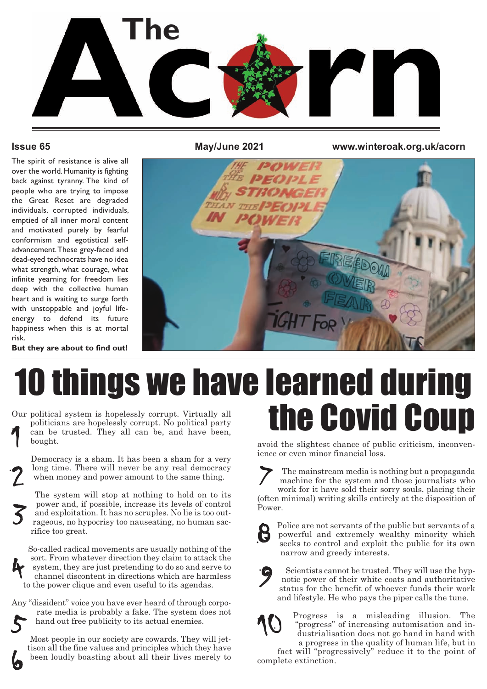

The spirit of resistance is alive all over the world. Humanity is fighting back against tyranny. The kind of people who are trying to impose the Great Reset are degraded individuals, corrupted individuals, emptied of all inner moral content and motivated purely by fearful conformism and egotistical selfadvancement.These grey-faced and dead-eyed technocrats have no idea what strength, what courage, what infinite yearning for freedom lies deep with the collective human heart and is waiting to surge forth with unstoppable and joyful lifeenergy to defend its future happiness when this is at mortal risk.

**But they are about to find out!**

2

3

6

**Issue 65 May/June 2021 www.winteroak.org.uk/acorn**



### Our political system is hopelessly corrupt. Virtually all 10 things we have learned during the Covid Co

politicians are hopelessly corrupt. No political party can be trusted. They all can be, and have been, bought.

Democracy is a sham. It has been a sham for a very long time. There will never be any real democracy when money and power amount to the same thing.

The system will stop at nothing to hold on to its power and, if possible, increase its levels of control and exploitation. It has no scruples. No lie is too outrageous, no hypocrisy too nauseating, no human sacrifice too great.

So-called radical movements are usually nothing of the sort. From whatever direction they claim to attack the system, they are just pretending to do so and serve to channel discontent in directions which are harmless to the power clique and even useful to its agendas. 4

Any "dissident" voice you have ever heard of through corporate media is probably a fake. The system does not hand out free publicity to its actual enemies. 5

Most people in our society are cowards. They will jettison all the fine values and principles which they have been loudly boasting about all their lives merely to avoid the slightest chance of public criticism, inconvenience or even minor financial loss.

The mainstream media is nothing but a propaganda machine for the system and those journalists who work for it have sold their sorry souls, placing their (often minimal) writing skills entirely at the disposition of Power. 7



Police are not servants of the public but servants of a powerful and extremely wealthy minority which seeks to control and exploit the public for its own narrow and greedy interests.



Scientists cannot be trusted. They will use the hypnotic power of their white coats and authoritative status for the benefit of whoever funds their work and lifestyle. He who pays the piper calls the tune.



Progress is a misleading illusion. The "progress" of increasing automisation and industrialisation does not go hand in hand with a progress in the quality of human life, but in

fact will "progressively" reduce it to the point of complete extinction.